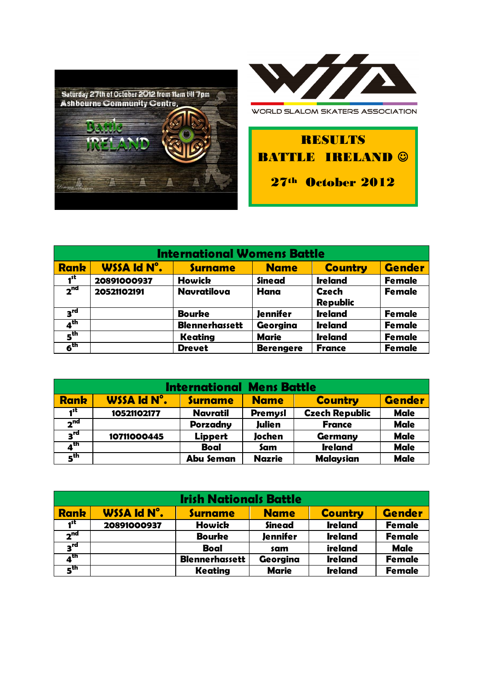



WORLD SLALOM SKATERS ASSOCIATION

RESULTS **BATTLE IRELAND ©** 

27th October 2012

| <b>International Womens Battle</b> |                    |                       |                  |                                 |               |
|------------------------------------|--------------------|-----------------------|------------------|---------------------------------|---------------|
| <b>Rank</b>                        | <b>WSSA Id N°.</b> | <b>Surname</b>        | <b>Name</b>      | <b>Country</b>                  | <b>Gender</b> |
| 1 <sup>st</sup>                    | 20891000937        | <b>Howick</b>         | <b>Sinead</b>    | <b>Ireland</b>                  | <b>Female</b> |
| 2 <sup>nd</sup>                    | 20521102191        | <b>Navratilova</b>    | Hana             | <b>Czech</b><br><b>Republic</b> | <b>Female</b> |
| $3^{\text{rd}}$                    |                    | <b>Bourke</b>         | <b>Jennifer</b>  | <b>Ireland</b>                  | <b>Female</b> |
| 4 <sup>th</sup>                    |                    | <b>Blennerhassett</b> | Georgina         | <b>Ireland</b>                  | <b>Female</b> |
| $\mathbf{s}^{\text{th}}$           |                    | Keating               | <b>Marie</b>     | <b>Ireland</b>                  | <b>Female</b> |
| $6^{\text{th}}$                    |                    | <b>Drevet</b>         | <b>Berengere</b> | <b>France</b>                   | <b>Female</b> |

| <b>International Mens Battle</b> |             |                  |                |                       |               |  |
|----------------------------------|-------------|------------------|----------------|-----------------------|---------------|--|
| <b>Rank</b>                      | WSSA Id N°. | <b>Surname</b>   | <b>Name</b>    | <b>Country</b>        | <b>Gender</b> |  |
| 4st                              | 10521102177 | <b>Navratil</b>  | <b>Premysl</b> | <b>Czech Republic</b> | <b>Male</b>   |  |
| 2 <sup>nd</sup>                  |             | <b>Porzadny</b>  | <b>Julien</b>  | <b>France</b>         | <b>Male</b>   |  |
| $3^{\text{rd}}$                  | 10711000445 | Lippert          | Jochen         | Germany               | <b>Male</b>   |  |
| $\overline{4}^{\text{th}}$       |             | <b>Boal</b>      | Sam            | <b>Ireland</b>        | <b>Male</b>   |  |
| $\mathbf{s}^{\text{th}}$         |             | <b>Abu Seman</b> | <b>Nazrie</b>  | <b>Malaysian</b>      | <b>Male</b>   |  |

| <b>Irish Nationals Battle</b> |             |                       |                 |                |               |  |
|-------------------------------|-------------|-----------------------|-----------------|----------------|---------------|--|
| <b>Rank</b>                   | WSSA Id N°. | <b>Surname</b>        | <b>Name</b>     | <b>Country</b> | <b>Gender</b> |  |
| 1 <sup>st</sup>               | 20891000937 | <b>Howick</b>         | <b>Sinead</b>   | <b>Ireland</b> | <b>Female</b> |  |
| 2 <sup>nd</sup>               |             | <b>Bourke</b>         | <b>Jennifer</b> | <b>Ireland</b> | <b>Female</b> |  |
| $3^{\text{rd}}$               |             | <b>Boal</b>           | sam             | ireland        | <b>Male</b>   |  |
| $4^{\text{th}}$               |             | <b>Blennerhassett</b> | Georgina        | <b>Ireland</b> | <b>Female</b> |  |
| 5 <sup>th</sup>               |             | Keating               | <b>Marie</b>    | <b>Ireland</b> | <b>Female</b> |  |